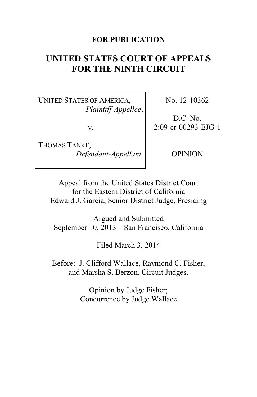# **FOR PUBLICATION**

# **UNITED STATES COURT OF APPEALS FOR THE NINTH CIRCUIT**

UNITED STATES OF AMERICA, *Plaintiff-Appellee*,

v.

THOMAS TANKE, *Defendant-Appellant*. No. 12-10362

D.C. No. 2:09-cr-00293-EJG-1

OPINION

Appeal from the United States District Court for the Eastern District of California Edward J. Garcia, Senior District Judge, Presiding

Argued and Submitted September 10, 2013—San Francisco, California

Filed March 3, 2014

Before: J. Clifford Wallace, Raymond C. Fisher, and Marsha S. Berzon, Circuit Judges.

> Opinion by Judge Fisher; Concurrence by Judge Wallace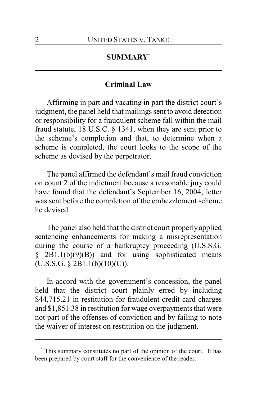# **SUMMARY\***

# **Criminal Law**

Affirming in part and vacating in part the district court's judgment, the panel held that mailings sent to avoid detection or responsibility for a fraudulent scheme fall within the mail fraud statute, 18 U.S.C. § 1341, when they are sent prior to the scheme's completion and that, to determine when a scheme is completed, the court looks to the scope of the scheme as devised by the perpetrator.

The panel affirmed the defendant's mail fraud conviction on count 2 of the indictment because a reasonable jury could have found that the defendant's September 16, 2004, letter was sent before the completion of the embezzlement scheme he devised.

The panel also held that the district court properly applied sentencing enhancements for making a misrepresentation during the course of a bankruptcy proceeding (U.S.S.G.  $§$  2B1.1(b)(9)(B)) and for using sophisticated means  $(U.S.S.G. \S 2B1.1(b)(10)(C)).$ 

In accord with the government's concession, the panel held that the district court plainly erred by including \$44,715.21 in restitution for fraudulent credit card charges and \$1,851.38 in restitution for wage overpayments that were not part of the offenses of conviction and by failing to note the waiver of interest on restitution on the judgment.

**<sup>\*</sup>** This summary constitutes no part of the opinion of the court. It has been prepared by court staff for the convenience of the reader.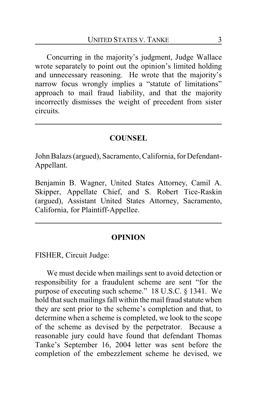Concurring in the majority's judgment, Judge Wallace wrote separately to point out the opinion's limited holding and unnecessary reasoning. He wrote that the majority's narrow focus wrongly implies a "statute of limitations" approach to mail fraud liability, and that the majority incorrectly dismisses the weight of precedent from sister circuits.

### **COUNSEL**

John Balazs (argued), Sacramento, California, for Defendant-Appellant.

Benjamin B. Wagner, United States Attorney, Camil A. Skipper, Appellate Chief, and S. Robert Tice-Raskin (argued), Assistant United States Attorney, Sacramento, California, for Plaintiff-Appellee.

#### **OPINION**

FISHER, Circuit Judge:

We must decide when mailings sent to avoid detection or responsibility for a fraudulent scheme are sent "for the purpose of executing such scheme." 18 U.S.C. § 1341. We hold that such mailings fall within the mail fraud statute when they are sent prior to the scheme's completion and that, to determine when a scheme is completed, we look to the scope of the scheme as devised by the perpetrator. Because a reasonable jury could have found that defendant Thomas Tanke's September 16, 2004 letter was sent before the completion of the embezzlement scheme he devised, we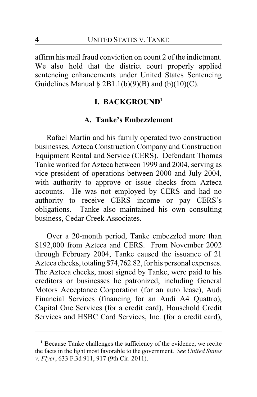affirm his mail fraud conviction on count 2 of the indictment. We also hold that the district court properly applied sentencing enhancements under United States Sentencing Guidelines Manual  $\S 2B1.1(b)(9)(B)$  and  $(b)(10)(C)$ .

# **I. BACKGROUND<sup>1</sup>**

# **A. Tanke's Embezzlement**

Rafael Martin and his family operated two construction businesses, Azteca Construction Company and Construction Equipment Rental and Service (CERS). Defendant Thomas Tanke worked for Azteca between 1999 and 2004, serving as vice president of operations between 2000 and July 2004, with authority to approve or issue checks from Azteca accounts. He was not employed by CERS and had no authority to receive CERS income or pay CERS's obligations. Tanke also maintained his own consulting business, Cedar Creek Associates.

Over a 20-month period, Tanke embezzled more than \$192,000 from Azteca and CERS. From November 2002 through February 2004, Tanke caused the issuance of 21 Azteca checks, totaling \$74,762.82, for his personal expenses. The Azteca checks, most signed by Tanke, were paid to his creditors or businesses he patronized, including General Motors Acceptance Corporation (for an auto lease), Audi Financial Services (financing for an Audi A4 Quattro), Capital One Services (for a credit card), Household Credit Services and HSBC Card Services, Inc. (for a credit card),

**<sup>1</sup>** Because Tanke challenges the sufficiency of the evidence, we recite the facts in the light most favorable to the government. *See United States v. Flyer*, 633 F.3d 911, 917 (9th Cir. 2011).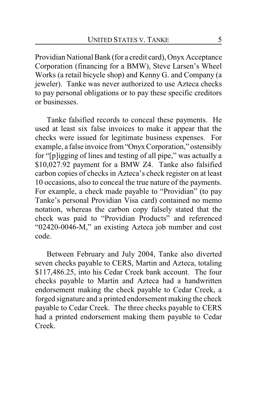Providian National Bank (for a credit card), Onyx Acceptance Corporation (financing for a BMW), Steve Larsen's Wheel Works (a retail bicycle shop) and Kenny G. and Company (a jeweler). Tanke was never authorized to use Azteca checks to pay personal obligations or to pay these specific creditors or businesses.

Tanke falsified records to conceal these payments. He used at least six false invoices to make it appear that the checks were issued for legitimate business expenses. For example, a false invoice from"OnyxCorporation," ostensibly for "[p]igging of lines and testing of all pipe," was actually a \$10,027.92 payment for a BMW Z4. Tanke also falsified carbon copies of checks in Azteca's check register on at least 10 occasions, also to conceal the true nature of the payments. For example, a check made payable to "Providian" (to pay Tanke's personal Providian Visa card) contained no memo notation, whereas the carbon copy falsely stated that the check was paid to "Providian Products" and referenced "02420-0046-M," an existing Azteca job number and cost code.

Between February and July 2004, Tanke also diverted seven checks payable to CERS, Martin and Azteca, totaling \$117,486.25, into his Cedar Creek bank account. The four checks payable to Martin and Azteca had a handwritten endorsement making the check payable to Cedar Creek, a forged signature and a printed endorsement making the check payable to Cedar Creek. The three checks payable to CERS had a printed endorsement making them payable to Cedar Creek.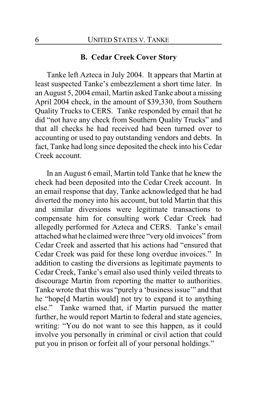# **B. Cedar Creek Cover Story**

Tanke left Azteca in July 2004. It appears that Martin at least suspected Tanke's embezzlement a short time later. In an August 5, 2004 email, Martin asked Tanke about a missing April 2004 check, in the amount of \$39,330, from Southern Quality Trucks to CERS. Tanke responded by email that he did "not have any check from Southern Quality Trucks" and that all checks he had received had been turned over to accounting or used to pay outstanding vendors and debts. In fact, Tanke had long since deposited the check into his Cedar Creek account.

In an August 6 email, Martin told Tanke that he knew the check had been deposited into the Cedar Creek account. In an email response that day, Tanke acknowledged that he had diverted the money into his account, but told Martin that this and similar diversions were legitimate transactions to compensate him for consulting work Cedar Creek had allegedly performed for Azteca and CERS. Tanke's email attached what he claimed were three "very old invoices" from Cedar Creek and asserted that his actions had "ensured that Cedar Creek was paid for these long overdue invoices." In addition to casting the diversions as legitimate payments to Cedar Creek, Tanke's email also used thinly veiled threats to discourage Martin from reporting the matter to authorities. Tanke wrote that this was "purely a 'business issue'" and that he "hope[d Martin would] not try to expand it to anything else." Tanke warned that, if Martin pursued the matter further, he would report Martin to federal and state agencies, writing: "You do not want to see this happen, as it could involve you personally in criminal or civil action that could put you in prison or forfeit all of your personal holdings."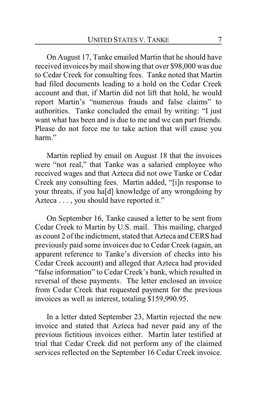On August 17, Tanke emailed Martin that he should have received invoices bymail showing that over \$98,000 was due to Cedar Creek for consulting fees. Tanke noted that Martin had filed documents leading to a hold on the Cedar Creek account and that, if Martin did not lift that hold, he would report Martin's "numerous frauds and false claims" to authorities. Tanke concluded the email by writing: "I just want what has been and is due to me and we can part friends. Please do not force me to take action that will cause you harm."

Martin replied by email on August 18 that the invoices were "not real," that Tanke was a salaried employee who received wages and that Azteca did not owe Tanke or Cedar Creek any consulting fees. Martin added, "[i]n response to your threats, if you ha[d] knowledge of any wrongdoing by Azteca . . . , you should have reported it."

On September 16, Tanke caused a letter to be sent from Cedar Creek to Martin by U.S. mail. This mailing, charged as count 2 of the indictment, stated that Azteca and CERS had previously paid some invoices due to Cedar Creek (again, an apparent reference to Tanke's diversion of checks into his Cedar Creek account) and alleged that Azteca had provided "false information" to Cedar Creek's bank, which resulted in reversal of these payments. The letter enclosed an invoice from Cedar Creek that requested payment for the previous invoices as well as interest, totaling \$159,990.95.

In a letter dated September 23, Martin rejected the new invoice and stated that Azteca had never paid any of the previous fictitious invoices either. Martin later testified at trial that Cedar Creek did not perform any of the claimed services reflected on the September 16 Cedar Creek invoice.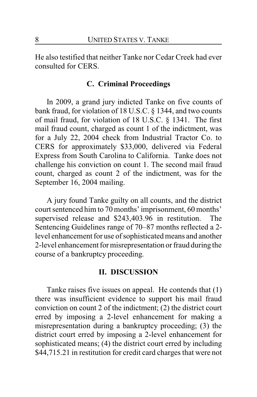He also testified that neither Tanke nor Cedar Creek had ever consulted for CERS.

### **C. Criminal Proceedings**

In 2009, a grand jury indicted Tanke on five counts of bank fraud, for violation of 18 U.S.C. § 1344, and two counts of mail fraud, for violation of 18 U.S.C. § 1341. The first mail fraud count, charged as count 1 of the indictment, was for a July 22, 2004 check from Industrial Tractor Co. to CERS for approximately \$33,000, delivered via Federal Express from South Carolina to California. Tanke does not challenge his conviction on count 1. The second mail fraud count, charged as count 2 of the indictment, was for the September 16, 2004 mailing.

A jury found Tanke guilty on all counts, and the district court sentenced him to 70 months' imprisonment, 60 months' supervised release and \$243,403.96 in restitution. The Sentencing Guidelines range of 70–87 months reflected a 2 level enhancement for use of sophisticated means and another 2-level enhancement for misrepresentation or fraud during the course of a bankruptcy proceeding.

#### **II. DISCUSSION**

Tanke raises five issues on appeal. He contends that (1) there was insufficient evidence to support his mail fraud conviction on count 2 of the indictment; (2) the district court erred by imposing a 2-level enhancement for making a misrepresentation during a bankruptcy proceeding; (3) the district court erred by imposing a 2-level enhancement for sophisticated means; (4) the district court erred by including \$44,715.21 in restitution for credit card charges that were not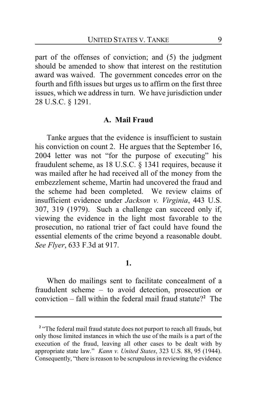part of the offenses of conviction; and (5) the judgment should be amended to show that interest on the restitution award was waived. The government concedes error on the fourth and fifth issues but urges us to affirm on the first three issues, which we address in turn. We have jurisdiction under 28 U.S.C. § 1291.

#### **A. Mail Fraud**

Tanke argues that the evidence is insufficient to sustain his conviction on count 2. He argues that the September 16, 2004 letter was not "for the purpose of executing" his fraudulent scheme, as 18 U.S.C. § 1341 requires, because it was mailed after he had received all of the money from the embezzlement scheme, Martin had uncovered the fraud and the scheme had been completed. We review claims of insufficient evidence under *Jackson v. Virginia*, 443 U.S. 307, 319 (1979). Such a challenge can succeed only if, viewing the evidence in the light most favorable to the prosecution, no rational trier of fact could have found the essential elements of the crime beyond a reasonable doubt. *See Flyer*, 633 F.3d at 917.

### **1.**

When do mailings sent to facilitate concealment of a fraudulent scheme – to avoid detection, prosecution or conviction – fall within the federal mail fraud statute?**<sup>2</sup>** The

<sup>&</sup>lt;sup>2</sup> "The federal mail fraud statute does not purport to reach all frauds, but only those limited instances in which the use of the mails is a part of the execution of the fraud, leaving all other cases to be dealt with by appropriate state law." *Kann v. United States*, 323 U.S. 88, 95 (1944). Consequently, "there is reason to be scrupulous in reviewing the evidence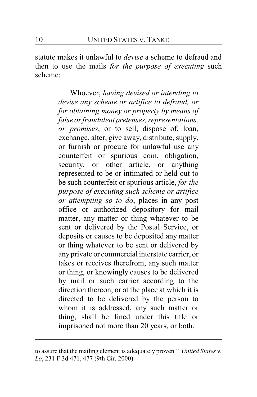statute makes it unlawful to *devise* a scheme to defraud and then to use the mails *for the purpose of executing* such scheme:

> Whoever, *having devised or intending to devise any scheme or artifice to defraud, or for obtaining money or property by means of false or fraudulent pretenses, representations, or promises*, or to sell, dispose of, loan, exchange, alter, give away, distribute, supply, or furnish or procure for unlawful use any counterfeit or spurious coin, obligation, security, or other article, or anything represented to be or intimated or held out to be such counterfeit or spurious article, *for the purpose of executing such scheme or artifice or attempting so to do*, places in any post office or authorized depository for mail matter, any matter or thing whatever to be sent or delivered by the Postal Service, or deposits or causes to be deposited any matter or thing whatever to be sent or delivered by anyprivate or commercial interstate carrier, or takes or receives therefrom, any such matter or thing, or knowingly causes to be delivered by mail or such carrier according to the direction thereon, or at the place at which it is directed to be delivered by the person to whom it is addressed, any such matter or thing, shall be fined under this title or imprisoned not more than 20 years, or both.

to assure that the mailing element is adequately proven." *United States v. Lo*, 231 F.3d 471, 477 (9th Cir. 2000).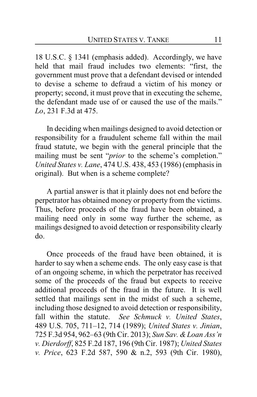18 U.S.C. § 1341 (emphasis added). Accordingly, we have held that mail fraud includes two elements: "first, the government must prove that a defendant devised or intended to devise a scheme to defraud a victim of his money or property; second, it must prove that in executing the scheme, the defendant made use of or caused the use of the mails." *Lo*, 231 F.3d at 475.

In deciding when mailings designed to avoid detection or responsibility for a fraudulent scheme fall within the mail fraud statute, we begin with the general principle that the mailing must be sent "*prior* to the scheme's completion." *United States v. Lane*, 474 U.S. 438, 453 (1986) (emphasis in original). But when is a scheme complete?

A partial answer is that it plainly does not end before the perpetrator has obtained money or property from the victims. Thus, before proceeds of the fraud have been obtained, a mailing need only in some way further the scheme, as mailings designed to avoid detection or responsibility clearly do.

Once proceeds of the fraud have been obtained, it is harder to say when a scheme ends. The only easy case is that of an ongoing scheme, in which the perpetrator has received some of the proceeds of the fraud but expects to receive additional proceeds of the fraud in the future. It is well settled that mailings sent in the midst of such a scheme, including those designed to avoid detection or responsibility, fall within the statute. *See Schmuck v. United States*, 489 U.S. 705, 711–12, 714 (1989); *United States v. Jinian*, 725 F.3d 954, 962–63 (9th Cir. 2013); *Sun Sav. &Loan Ass'n v. Dierdorff*, 825 F.2d 187, 196 (9th Cir. 1987); *United States v. Price*, 623 F.2d 587, 590 & n.2, 593 (9th Cir. 1980),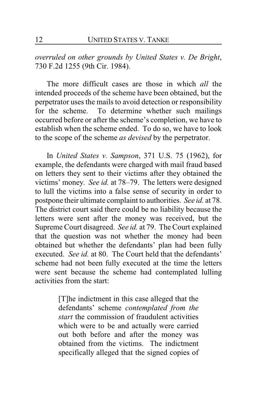*overruled on other grounds by United States v. De Bright*, 730 F.2d 1255 (9th Cir. 1984).

The more difficult cases are those in which *all* the intended proceeds of the scheme have been obtained, but the perpetrator uses the mails to avoid detection or responsibility for the scheme. To determine whether such mailings occurred before or after the scheme's completion, we have to establish when the scheme ended. To do so, we have to look to the scope of the scheme *as devised* by the perpetrator.

In *United States v. Sampson*, 371 U.S. 75 (1962), for example, the defendants were charged with mail fraud based on letters they sent to their victims after they obtained the victims' money. *See id.* at 78–79. The letters were designed to lull the victims into a false sense of security in order to postpone their ultimate complaint to authorities. *See id.* at 78. The district court said there could be no liability because the letters were sent after the money was received, but the Supreme Court disagreed. *See id.* at 79. The Court explained that the question was not whether the money had been obtained but whether the defendants' plan had been fully executed. *See id.* at 80. The Court held that the defendants' scheme had not been fully executed at the time the letters were sent because the scheme had contemplated lulling activities from the start:

> [T]he indictment in this case alleged that the defendants' scheme *contemplated from the start* the commission of fraudulent activities which were to be and actually were carried out both before and after the money was obtained from the victims. The indictment specifically alleged that the signed copies of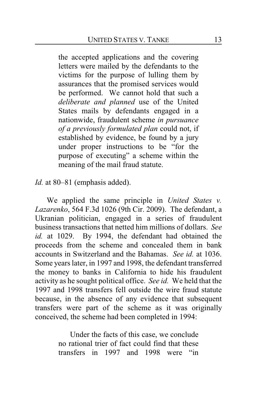the accepted applications and the covering letters were mailed by the defendants to the victims for the purpose of lulling them by assurances that the promised services would be performed. We cannot hold that such a *deliberate and planned* use of the United States mails by defendants engaged in a nationwide, fraudulent scheme *in pursuance of a previously formulated plan* could not, if established by evidence, be found by a jury under proper instructions to be "for the purpose of executing" a scheme within the meaning of the mail fraud statute.

*Id.* at 80–81 (emphasis added).

We applied the same principle in *United States v. Lazarenko*, 564 F.3d 1026 (9th Cir. 2009). The defendant, a Ukranian politician, engaged in a series of fraudulent business transactions that netted him millions of dollars. *See id.* at 1029. By 1994, the defendant had obtained the proceeds from the scheme and concealed them in bank accounts in Switzerland and the Bahamas. *See id.* at 1036. Some years later, in 1997 and 1998, the defendant transferred the money to banks in California to hide his fraudulent activity as he sought political office. *See id.* We held that the 1997 and 1998 transfers fell outside the wire fraud statute because, in the absence of any evidence that subsequent transfers were part of the scheme as it was originally conceived, the scheme had been completed in 1994:

> Under the facts of this case, we conclude no rational trier of fact could find that these transfers in 1997 and 1998 were "in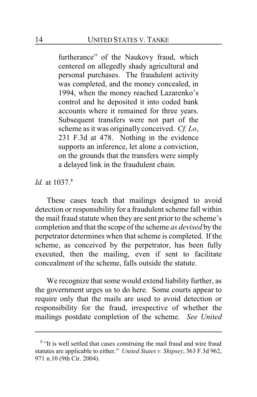furtherance" of the Naukovy fraud, which centered on allegedly shady agricultural and personal purchases. The fraudulent activity was completed, and the money concealed, in 1994, when the money reached Lazarenko's control and he deposited it into coded bank accounts where it remained for three years. Subsequent transfers were not part of the scheme as it was originally conceived. *Cf. Lo*, 231 F.3d at 478. Nothing in the evidence supports an inference, let alone a conviction, on the grounds that the transfers were simply a delayed link in the fraudulent chain.

*Id.* at 1037.**<sup>3</sup>**

These cases teach that mailings designed to avoid detection or responsibility for a fraudulent scheme fall within the mail fraud statute when they are sent prior to the scheme's completion and that the scope of the scheme *as devised* by the perpetrator determines when that scheme is completed. If the scheme, as conceived by the perpetrator, has been fully executed, then the mailing, even if sent to facilitate concealment of the scheme, falls outside the statute.

We recognize that some would extend liability further, as the government urges us to do here. Some courts appear to require only that the mails are used to avoid detection or responsibility for the fraud, irrespective of whether the mailings postdate completion of the scheme. *See United*

<sup>&</sup>lt;sup>3</sup> "It is well settled that cases construing the mail fraud and wire fraud statutes are applicable to either." *United States v. Shipsey*, 363 F.3d 962, 971 n.10 (9th Cir. 2004).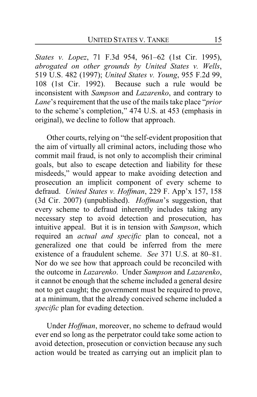*States v. Lopez*, 71 F.3d 954, 961–62 (1st Cir. 1995), *abrogated on other grounds by United States v. Wells*, 519 U.S. 482 (1997); *United States v. Young*, 955 F.2d 99, 108 (1st Cir. 1992). Because such a rule would be inconsistent with *Sampson* and *Lazarenko*, and contrary to *Lane*'s requirement that the use of the mails take place "*prior* to the scheme's completion," 474 U.S. at 453 (emphasis in original), we decline to follow that approach.

Other courts, relying on "the self-evident proposition that the aim of virtually all criminal actors, including those who commit mail fraud, is not only to accomplish their criminal goals, but also to escape detection and liability for these misdeeds," would appear to make avoiding detection and prosecution an implicit component of every scheme to defraud. *United States v. Hoffman*, 229 F. App'x 157, 158 (3d Cir. 2007) (unpublished). *Hoffman*'s suggestion, that every scheme to defraud inherently includes taking any necessary step to avoid detection and prosecution, has intuitive appeal. But it is in tension with *Sampson*, which required an *actual and specific* plan to conceal, not a generalized one that could be inferred from the mere existence of a fraudulent scheme. *See* 371 U.S. at 80–81. Nor do we see how that approach could be reconciled with the outcome in *Lazarenko*. Under *Sampson* and *Lazarenko*, it cannot be enough that the scheme included a general desire not to get caught; the government must be required to prove, at a minimum, that the already conceived scheme included a *specific* plan for evading detection.

Under *Hoffman*, moreover, no scheme to defraud would ever end so long as the perpetrator could take some action to avoid detection, prosecution or conviction because any such action would be treated as carrying out an implicit plan to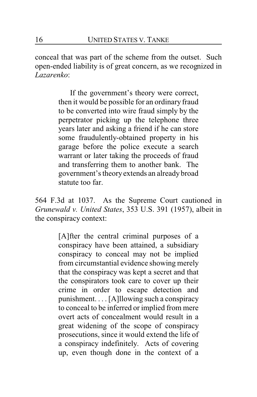conceal that was part of the scheme from the outset. Such open-ended liability is of great concern, as we recognized in *Lazarenko*:

> If the government's theory were correct, then it would be possible for an ordinary fraud to be converted into wire fraud simply by the perpetrator picking up the telephone three years later and asking a friend if he can store some fraudulently-obtained property in his garage before the police execute a search warrant or later taking the proceeds of fraud and transferring them to another bank. The government's theoryextends an already broad statute too far.

564 F.3d at 1037. As the Supreme Court cautioned in *Grunewald v. United States*, 353 U.S. 391 (1957), albeit in the conspiracy context:

> [A]fter the central criminal purposes of a conspiracy have been attained, a subsidiary conspiracy to conceal may not be implied from circumstantial evidence showing merely that the conspiracy was kept a secret and that the conspirators took care to cover up their crime in order to escape detection and punishment. . . . [A]llowing such a conspiracy to conceal to be inferred or implied from mere overt acts of concealment would result in a great widening of the scope of conspiracy prosecutions, since it would extend the life of a conspiracy indefinitely. Acts of covering up, even though done in the context of a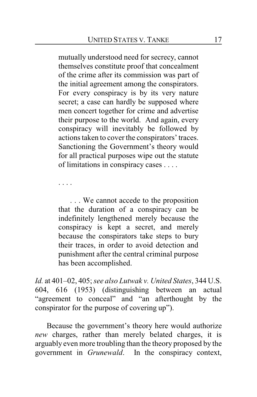mutually understood need for secrecy, cannot themselves constitute proof that concealment of the crime after its commission was part of the initial agreement among the conspirators. For every conspiracy is by its very nature secret; a case can hardly be supposed where men concert together for crime and advertise their purpose to the world. And again, every conspiracy will inevitably be followed by actions taken to cover the conspirators' traces. Sanctioning the Government's theory would for all practical purposes wipe out the statute of limitations in conspiracy cases . . . .

. . . .

. . . We cannot accede to the proposition that the duration of a conspiracy can be indefinitely lengthened merely because the conspiracy is kept a secret, and merely because the conspirators take steps to bury their traces, in order to avoid detection and punishment after the central criminal purpose has been accomplished.

*Id.* at 401–02, 405; *see also Lutwak v. United States*, 344 U.S. 604, 616 (1953) (distinguishing between an actual "agreement to conceal" and "an afterthought by the conspirator for the purpose of covering up").

Because the government's theory here would authorize *new* charges, rather than merely belated charges, it is arguably even more troubling than the theory proposed by the government in *Grunewald*. In the conspiracy context,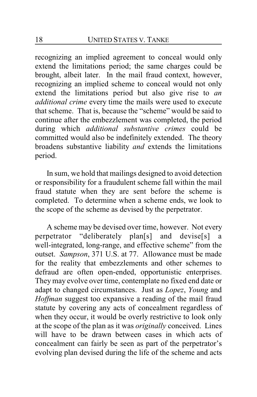recognizing an implied agreement to conceal would only extend the limitations period; the same charges could be brought, albeit later. In the mail fraud context, however, recognizing an implied scheme to conceal would not only extend the limitations period but also give rise to *an additional crime* every time the mails were used to execute that scheme. That is, because the "scheme" would be said to continue after the embezzlement was completed, the period during which *additional substantive crimes* could be committed would also be indefinitely extended. The theory broadens substantive liability *and* extends the limitations period.

In sum, we hold that mailings designed to avoid detection or responsibility for a fraudulent scheme fall within the mail fraud statute when they are sent before the scheme is completed. To determine when a scheme ends, we look to the scope of the scheme as devised by the perpetrator.

A scheme may be devised over time, however. Not every perpetrator "deliberately plan[s] and devise[s] a well-integrated, long-range, and effective scheme" from the outset. *Sampson*, 371 U.S. at 77. Allowance must be made for the reality that embezzlements and other schemes to defraud are often open-ended, opportunistic enterprises. They may evolve over time, contemplate no fixed end date or adapt to changed circumstances. Just as *Lopez*, *Young* and *Hoffman* suggest too expansive a reading of the mail fraud statute by covering any acts of concealment regardless of when they occur, it would be overly restrictive to look only at the scope of the plan as it was *originally* conceived. Lines will have to be drawn between cases in which acts of concealment can fairly be seen as part of the perpetrator's evolving plan devised during the life of the scheme and acts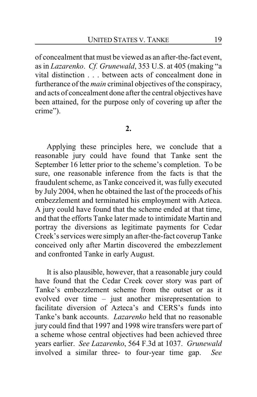of concealment that must be viewed as an after-the-fact event, as in *Lazarenko*. *Cf. Grunewald*, 353 U.S. at 405 (making "a vital distinction . . . between acts of concealment done in furtherance of the *main* criminal objectives of the conspiracy, and acts of concealment done after the central objectives have been attained, for the purpose only of covering up after the crime").

#### **2.**

Applying these principles here, we conclude that a reasonable jury could have found that Tanke sent the September 16 letter prior to the scheme's completion. To be sure, one reasonable inference from the facts is that the fraudulent scheme, as Tanke conceived it, was fully executed by July 2004, when he obtained the last of the proceeds of his embezzlement and terminated his employment with Azteca. A jury could have found that the scheme ended at that time, and that the efforts Tanke later made to intimidate Martin and portray the diversions as legitimate payments for Cedar Creek's services were simply an after-the-fact coverup Tanke conceived only after Martin discovered the embezzlement and confronted Tanke in early August.

It is also plausible, however, that a reasonable jury could have found that the Cedar Creek cover story was part of Tanke's embezzlement scheme from the outset or as it evolved over time – just another misrepresentation to facilitate diversion of Azteca's and CERS's funds into Tanke's bank accounts. *Lazarenko* held that no reasonable jury could find that 1997 and 1998 wire transfers were part of a scheme whose central objectives had been achieved three years earlier. *See Lazarenko*, 564 F.3d at 1037. *Grunewald* involved a similar three- to four-year time gap. *See*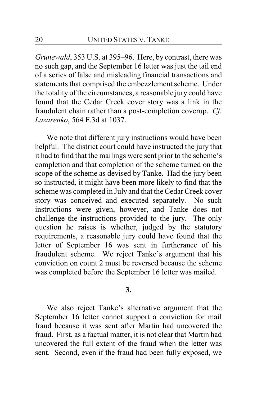*Grunewald*, 353 U.S. at 395–96. Here, by contrast, there was no such gap, and the September 16 letter was just the tail end of a series of false and misleading financial transactions and statements that comprised the embezzlement scheme. Under the totality of the circumstances, a reasonable jury could have found that the Cedar Creek cover story was a link in the fraudulent chain rather than a post-completion coverup. *Cf. Lazarenko*, 564 F.3d at 1037.

We note that different jury instructions would have been helpful. The district court could have instructed the jury that it had to find that the mailings were sent prior to the scheme's completion and that completion of the scheme turned on the scope of the scheme as devised by Tanke. Had the jury been so instructed, it might have been more likely to find that the scheme was completed in July and that the Cedar Creek cover story was conceived and executed separately. No such instructions were given, however, and Tanke does not challenge the instructions provided to the jury. The only question he raises is whether, judged by the statutory requirements, a reasonable jury could have found that the letter of September 16 was sent in furtherance of his fraudulent scheme. We reject Tanke's argument that his conviction on count 2 must be reversed because the scheme was completed before the September 16 letter was mailed.

#### **3.**

We also reject Tanke's alternative argument that the September 16 letter cannot support a conviction for mail fraud because it was sent after Martin had uncovered the fraud. First, as a factual matter, it is not clear that Martin had uncovered the full extent of the fraud when the letter was sent. Second, even if the fraud had been fully exposed, we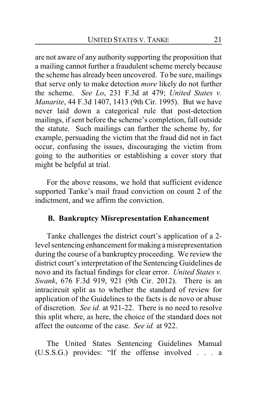are not aware of any authority supporting the proposition that a mailing cannot further a fraudulent scheme merely because the scheme has already been uncovered. To be sure, mailings that serve only to make detection *more* likely do not further the scheme. *See Lo*, 231 F.3d at 479; *United States v. Manarite*, 44 F.3d 1407, 1413 (9th Cir. 1995). But we have never laid down a categorical rule that post-detection mailings, if sent before the scheme's completion, fall outside the statute. Such mailings can further the scheme by, for example, persuading the victim that the fraud did not in fact occur, confusing the issues, discouraging the victim from going to the authorities or establishing a cover story that might be helpful at trial.

For the above reasons, we hold that sufficient evidence supported Tanke's mail fraud conviction on count 2 of the indictment, and we affirm the conviction.

# **B. Bankruptcy Misrepresentation Enhancement**

Tanke challenges the district court's application of a 2 level sentencing enhancement for making a misrepresentation during the course of a bankruptcy proceeding. We review the district court's interpretation of the Sentencing Guidelines de novo and its factual findings for clear error. *United States v. Swank*, 676 F.3d 919, 921 (9th Cir. 2012). There is an intracircuit split as to whether the standard of review for application of the Guidelines to the facts is de novo or abuse of discretion. *See id.* at 921-22. There is no need to resolve this split where, as here, the choice of the standard does not affect the outcome of the case. *See id.* at 922.

The United States Sentencing Guidelines Manual (U.S.S.G.) provides: "If the offense involved . . . a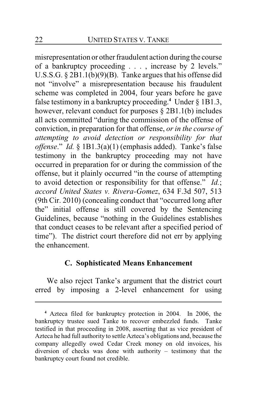misrepresentation or other fraudulent action during the course of a bankruptcy proceeding . . . , increase by 2 levels." U.S.S.G. § 2B1.1(b)(9)(B). Tanke argues that his offense did not "involve" a misrepresentation because his fraudulent scheme was completed in 2004, four years before he gave false testimony in a bankruptcy proceeding. **<sup>4</sup>** Under § 1B1.3, however, relevant conduct for purposes § 2B1.1(b) includes all acts committed "during the commission of the offense of conviction, in preparation for that offense, *or in the course of attempting to avoid detection or responsibility for that offense*." *Id.* § 1B1.3(a)(1) (emphasis added). Tanke's false testimony in the bankruptcy proceeding may not have occurred in preparation for or during the commission of the offense, but it plainly occurred "in the course of attempting to avoid detection or responsibility for that offense." *Id.*; *accord United States v. Rivera-Gomez*, 634 F.3d 507, 513 (9th Cir. 2010) (concealing conduct that "occurred long after the" initial offense is still covered by the Sentencing Guidelines, because "nothing in the Guidelines establishes that conduct ceases to be relevant after a specified period of time"). The district court therefore did not err by applying the enhancement.

# **C. Sophisticated Means Enhancement**

We also reject Tanke's argument that the district court erred by imposing a 2-level enhancement for using

**<sup>4</sup>** Azteca filed for bankruptcy protection in 2004. In 2006, the bankruptcy trustee sued Tanke to recover embezzled funds. Tanke testified in that proceeding in 2008, asserting that as vice president of Azteca he had full authority to settle Azteca's obligations and, because the company allegedly owed Cedar Creek money on old invoices, his diversion of checks was done with authority – testimony that the bankruptcy court found not credible.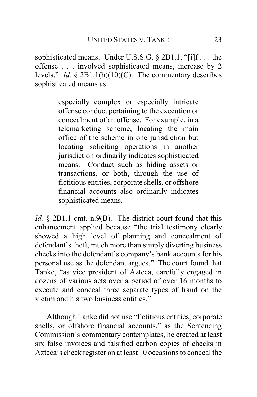sophisticated means. Under U.S.S.G. § 2B1.1, "[i]f . . . the offense . . . involved sophisticated means, increase by 2 levels." *Id.* § 2B1.1(b)(10)(C). The commentary describes sophisticated means as:

> especially complex or especially intricate offense conduct pertaining to the execution or concealment of an offense. For example, in a telemarketing scheme, locating the main office of the scheme in one jurisdiction but locating soliciting operations in another jurisdiction ordinarily indicates sophisticated means. Conduct such as hiding assets or transactions, or both, through the use of fictitious entities, corporate shells, or offshore financial accounts also ordinarily indicates sophisticated means.

*Id.* § 2B1.1 cmt. n.9(B). The district court found that this enhancement applied because "the trial testimony clearly showed a high level of planning and concealment of defendant's theft, much more than simply diverting business checks into the defendant's company's bank accounts for his personal use as the defendant argues." The court found that Tanke, "as vice president of Azteca, carefully engaged in dozens of various acts over a period of over 16 months to execute and conceal three separate types of fraud on the victim and his two business entities."

Although Tanke did not use "fictitious entities, corporate shells, or offshore financial accounts," as the Sentencing Commission's commentary contemplates, he created at least six false invoices and falsified carbon copies of checks in Azteca's check register on at least 10 occasions to conceal the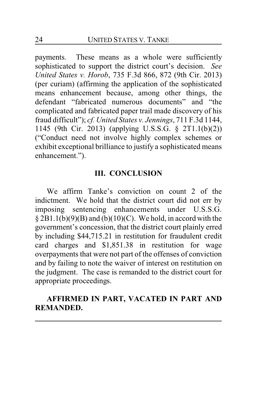payments. These means as a whole were sufficiently sophisticated to support the district court's decision. *See United States v. Horob*, 735 F.3d 866, 872 (9th Cir. 2013) (per curiam) (affirming the application of the sophisticated means enhancement because, among other things, the defendant "fabricated numerous documents" and "the complicated and fabricated paper trail made discovery of his fraud difficult"); *cf. United States v. Jennings*, 711 F.3d 1144, 1145 (9th Cir. 2013) (applying U.S.S.G. § 2T1.1(b)(2)) ("Conduct need not involve highly complex schemes or exhibit exceptional brilliance to justify a sophisticated means enhancement.").

# **III. CONCLUSION**

We affirm Tanke's conviction on count 2 of the indictment. We hold that the district court did not err by imposing sentencing enhancements under U.S.S.G.  $\S 2B1.1(b)(9)(B)$  and  $(b)(10)(C)$ . We hold, in accord with the government's concession, that the district court plainly erred by including \$44,715.21 in restitution for fraudulent credit card charges and \$1,851.38 in restitution for wage overpayments that were not part of the offenses of conviction and by failing to note the waiver of interest on restitution on the judgment. The case is remanded to the district court for appropriate proceedings.

# **AFFIRMED IN PART, VACATED IN PART AND REMANDED.**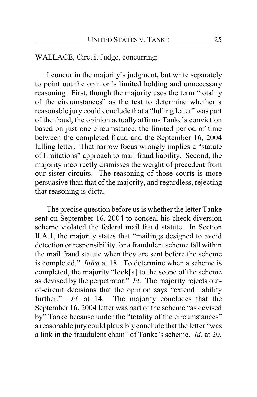# WALLACE, Circuit Judge, concurring:

I concur in the majority's judgment, but write separately to point out the opinion's limited holding and unnecessary reasoning. First, though the majority uses the term "totality of the circumstances" as the test to determine whether a reasonable jury could conclude that a "lulling letter" was part of the fraud, the opinion actually affirms Tanke's conviction based on just one circumstance, the limited period of time between the completed fraud and the September 16, 2004 lulling letter. That narrow focus wrongly implies a "statute of limitations" approach to mail fraud liability. Second, the majority incorrectly dismisses the weight of precedent from our sister circuits. The reasoning of those courts is more persuasive than that of the majority, and regardless, rejecting that reasoning is dicta.

The precise question before us is whether the letter Tanke sent on September 16, 2004 to conceal his check diversion scheme violated the federal mail fraud statute. In Section II.A.1, the majority states that "mailings designed to avoid detection or responsibility for a fraudulent scheme fall within the mail fraud statute when they are sent before the scheme is completed." *Infra* at 18. To determine when a scheme is completed, the majority "look[s] to the scope of the scheme as devised by the perpetrator." *Id*. The majority rejects outof-circuit decisions that the opinion says "extend liability further." *Id.* at 14. The majority concludes that the September 16, 2004 letter was part of the scheme "as devised by" Tanke because under the "totality of the circumstances" a reasonable jury could plausibly conclude that the letter "was a link in the fraudulent chain" of Tanke's scheme. *Id.* at 20.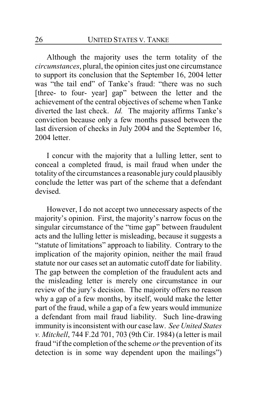Although the majority uses the term totality of the *circumstances*, plural, the opinion cites just one circumstance to support its conclusion that the September 16, 2004 letter was "the tail end" of Tanke's fraud: "there was no such [three- to four- year] gap" between the letter and the achievement of the central objectives of scheme when Tanke diverted the last check. *Id.* The majority affirms Tanke's conviction because only a few months passed between the last diversion of checks in July 2004 and the September 16, 2004 letter.

I concur with the majority that a lulling letter, sent to conceal a completed fraud, is mail fraud when under the totality of the circumstances a reasonable jury could plausibly conclude the letter was part of the scheme that a defendant devised.

However, I do not accept two unnecessary aspects of the majority's opinion. First, the majority's narrow focus on the singular circumstance of the "time gap" between fraudulent acts and the lulling letter is misleading, because it suggests a "statute of limitations" approach to liability. Contrary to the implication of the majority opinion, neither the mail fraud statute nor our cases set an automatic cutoff date for liability. The gap between the completion of the fraudulent acts and the misleading letter is merely one circumstance in our review of the jury's decision. The majority offers no reason why a gap of a few months, by itself, would make the letter part of the fraud, while a gap of a few years would immunize a defendant from mail fraud liability. Such line-drawing immunity is inconsistent with our case law. *See United States v. Mitchell*, 744 F.2d 701, 703 (9th Cir. 1984) (a letter is mail fraud "if the completion of the scheme *or* the prevention of its detection is in some way dependent upon the mailings")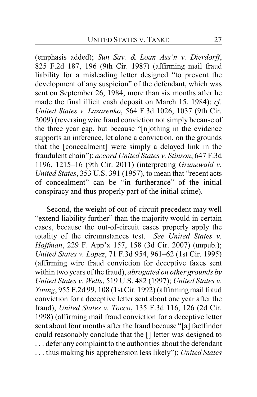(emphasis added); *Sun Sav. & Loan Ass'n v. Dierdorff*, 825 F.2d 187, 196 (9th Cir. 1987) (affirming mail fraud liability for a misleading letter designed "to prevent the development of any suspicion" of the defendant, which was sent on September 26, 1984, more than six months after he made the final illicit cash deposit on March 15, 1984); *cf. United States v. Lazarenko*, 564 F.3d 1026, 1037 (9th Cir. 2009) (reversing wire fraud conviction not simply because of the three year gap, but because "[n]othing in the evidence supports an inference, let alone a conviction, on the grounds that the [concealment] were simply a delayed link in the fraudulent chain"); *accord United States v. Stinson*, 647 F.3d 1196, 1215–16 (9th Cir. 2011) (interpreting *Grunewald v. United States*, 353 U.S. 391 (1957), to mean that "recent acts of concealment" can be "in furtherance" of the initial conspiracy and thus properly part of the initial crime).

Second, the weight of out-of-circuit precedent may well "extend liability further" than the majority would in certain cases, because the out-of-circuit cases properly apply the totality of the circumstances test. *See United States v. Hoffman*, 229 F. App'x 157, 158 (3d Cir. 2007) (unpub.); *United States v. Lopez*, 71 F.3d 954, 961–62 (1st Cir. 1995) (affirming wire fraud conviction for deceptive faxes sent within two years of the fraud), *abrogated on other grounds by United States v. Wells*, 519 U.S. 482 (1997); *United States v. Young*, 955 F.2d 99, 108 (1st Cir. 1992) (affirming mail fraud conviction for a deceptive letter sent about one year after the fraud); *United States v. Tocco*, 135 F.3d 116, 126 (2d Cir. 1998) (affirming mail fraud conviction for a deceptive letter sent about four months after the fraud because "[a] factfinder could reasonably conclude that the [] letter was designed to . . . defer any complaint to the authorities about the defendant . . . thus making his apprehension less likely"); *United States*